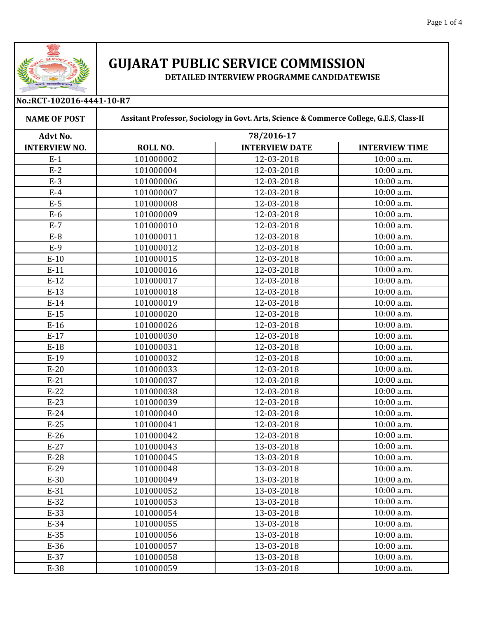

## **GUJARAT PUBLIC SERVICE COMMISSION**

**DETAILED INTERVIEW PROGRAMME CANDIDATEWISE** 

| No.:RCT-102016-4441-10-R7 |                                                                                                        |                       |                         |  |
|---------------------------|--------------------------------------------------------------------------------------------------------|-----------------------|-------------------------|--|
| <b>NAME OF POST</b>       | Assitant Professor, Sociology in Govt. Arts, Science & Commerce College, G.E.S, Class-II<br>78/2016-17 |                       |                         |  |
| Advt No.                  |                                                                                                        |                       |                         |  |
| <b>INTERVIEW NO.</b>      | ROLL NO.                                                                                               | <b>INTERVIEW DATE</b> | <b>INTERVIEW TIME</b>   |  |
| $E-1$                     | 101000002                                                                                              | 12-03-2018            | 10:00 a.m.              |  |
| $E-2$                     | 101000004                                                                                              | 12-03-2018            | 10:00 a.m.              |  |
| $E-3$                     | 101000006                                                                                              | 12-03-2018            | 10:00 a.m.              |  |
| $E-4$                     | 101000007                                                                                              | 12-03-2018            | 10:00 a.m.              |  |
| $E-5$                     | 101000008                                                                                              | 12-03-2018            | $\overline{1}0:00$ a.m. |  |
| $E-6$                     | 101000009                                                                                              | 12-03-2018            | 10:00 a.m.              |  |
| $E-7$                     | 101000010                                                                                              | 12-03-2018            | 10:00 a.m.              |  |
| $E-8$                     | 101000011                                                                                              | 12-03-2018            | 10:00 a.m.              |  |
| $E-9$                     | 101000012                                                                                              | 12-03-2018            | 10:00 a.m.              |  |
| $E-10$                    | 101000015                                                                                              | 12-03-2018            | 10:00 a.m.              |  |
| $E-11$                    | 101000016                                                                                              | 12-03-2018            | 10:00 a.m.              |  |
| $E-12$                    | 101000017                                                                                              | 12-03-2018            | 10:00 a.m.              |  |
| $E-13$                    | 101000018                                                                                              | 12-03-2018            | 10:00 a.m.              |  |
| $E-14$                    | 101000019                                                                                              | 12-03-2018            | 10:00 a.m.              |  |
| $E-15$                    | 101000020                                                                                              | 12-03-2018            | 10:00 a.m.              |  |
| $E-16$                    | 101000026                                                                                              | 12-03-2018            | 10:00 a.m.              |  |
| $E-17$                    | 101000030                                                                                              | 12-03-2018            | 10:00 a.m.              |  |
| $E-18$                    | 101000031                                                                                              | 12-03-2018            | 10:00 a.m.              |  |
| $E-19$                    | 101000032                                                                                              | 12-03-2018            | 10:00 a.m.              |  |
| $E-20$                    | 101000033                                                                                              | 12-03-2018            | 10:00 a.m.              |  |
| $E-21$                    | 101000037                                                                                              | 12-03-2018            | 10:00 a.m.              |  |
| $E-22$                    | 101000038                                                                                              | 12-03-2018            | 10:00 a.m.              |  |
| $E-23$                    | 101000039                                                                                              | 12-03-2018            | 10:00 a.m.              |  |
| $E-24$                    | 101000040                                                                                              | 12-03-2018            | 10:00 a.m.              |  |
| $E-25$                    | 101000041                                                                                              | 12-03-2018            | 10:00 a.m.              |  |
| $E-26$                    | 101000042                                                                                              | 12-03-2018            | 10:00 a.m.              |  |
| $E-27$                    | 101000043                                                                                              | 13-03-2018            | 10:00 a.m.              |  |
| $E-28$                    | 101000045                                                                                              | 13-03-2018            | $10:00$ a.m.            |  |
| $E-29$                    | 101000048                                                                                              | 13-03-2018            | 10:00 a.m.              |  |
| $E-30$                    | 101000049                                                                                              | 13-03-2018            | 10:00 a.m.              |  |
| $E-31$                    | 101000052                                                                                              | 13-03-2018            | 10:00 a.m.              |  |
| $E-32$                    | 101000053                                                                                              | 13-03-2018            | 10:00 a.m.              |  |
| $E-33$                    | 101000054                                                                                              | 13-03-2018            | 10:00 a.m.              |  |
| $E-34$                    | 101000055                                                                                              | 13-03-2018            | 10:00 a.m.              |  |
| $E-35$                    | 101000056                                                                                              | 13-03-2018            | 10:00 a.m.              |  |
| $E-36$                    | 101000057                                                                                              | 13-03-2018            | 10:00 a.m.              |  |
| $E-37$                    | 101000058                                                                                              | 13-03-2018            | 10:00 a.m.              |  |
| E-38                      | 101000059                                                                                              | 13-03-2018            | 10:00 a.m.              |  |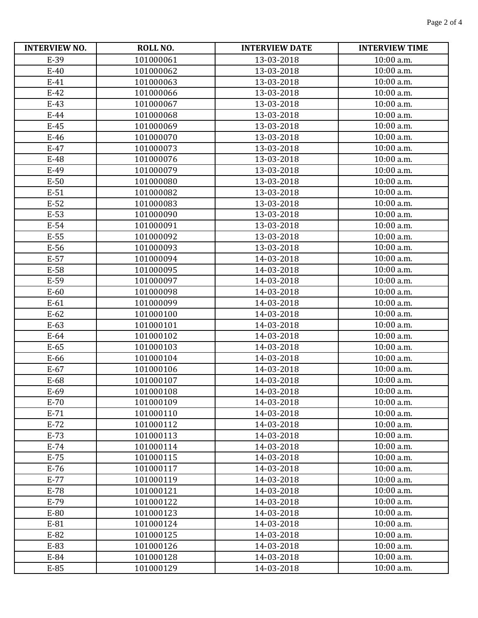| <b>INTERVIEW NO.</b> | ROLL NO.  | <b>INTERVIEW DATE</b> | <b>INTERVIEW TIME</b> |
|----------------------|-----------|-----------------------|-----------------------|
| E-39                 | 101000061 | 13-03-2018            | 10:00 a.m.            |
| $E-40$               | 101000062 | 13-03-2018            | 10:00 a.m.            |
| $E-41$               | 101000063 | 13-03-2018            | 10:00 a.m.            |
| $E-42$               | 101000066 | 13-03-2018            | 10:00 a.m.            |
| $E-43$               | 101000067 | 13-03-2018            | 10:00 a.m.            |
| $E-44$               | 101000068 | 13-03-2018            | 10:00 a.m.            |
| $E-45$               | 101000069 | 13-03-2018            | 10:00 a.m.            |
| $E-46$               | 101000070 | 13-03-2018            | 10:00 a.m.            |
| $E-47$               | 101000073 | 13-03-2018            | 10:00 a.m.            |
| E-48                 | 101000076 | 13-03-2018            | 10:00 a.m.            |
| E-49                 | 101000079 | 13-03-2018            | 10:00 a.m.            |
| $E-50$               | 101000080 | 13-03-2018            | 10:00 a.m.            |
| $E-51$               | 101000082 | 13-03-2018            | 10:00 a.m.            |
| $E-52$               | 101000083 | 13-03-2018            | 10:00 a.m.            |
| $E-53$               | 101000090 | 13-03-2018            | 10:00 a.m.            |
| $E-54$               | 101000091 | 13-03-2018            | 10:00 a.m.            |
| $E-55$               | 101000092 | 13-03-2018            | 10:00 a.m.            |
| E-56                 | 101000093 | 13-03-2018            | 10:00 a.m.            |
| $E-57$               | 101000094 | 14-03-2018            | 10:00 a.m.            |
| E-58                 | 101000095 | 14-03-2018            | 10:00 a.m.            |
| E-59                 | 101000097 | 14-03-2018            | 10:00 a.m.            |
| $E-60$               | 101000098 | 14-03-2018            | 10:00 a.m.            |
| $E-61$               | 101000099 | 14-03-2018            | 10:00 a.m.            |
| $E-62$               | 101000100 | 14-03-2018            | 10:00 a.m.            |
| $E-63$               | 101000101 | 14-03-2018            | 10:00 a.m.            |
| $E-64$               | 101000102 | 14-03-2018            | 10:00 a.m.            |
| $E-65$               | 101000103 | 14-03-2018            | 10:00 a.m.            |
| E-66                 | 101000104 | 14-03-2018            | 10:00 a.m.            |
| $E-67$               | 101000106 | 14-03-2018            | 10:00 a.m.            |
| E-68                 | 101000107 | 14-03-2018            | 10:00 a.m.            |
| $E-69$               | 101000108 | 14-03-2018            | 10:00 a.m.            |
| $E-70$               | 101000109 | 14-03-2018            | $10:00$ a.m.          |
| $E-71$               | 101000110 | 14-03-2018            | 10:00 a.m.            |
| $E-72$               | 101000112 | 14-03-2018            | 10:00 a.m.            |
| $E-73$               | 101000113 | 14-03-2018            | 10:00 a.m.            |
| $E-74$               | 101000114 | 14-03-2018            | 10:00 a.m.            |
| $E-75$               | 101000115 | 14-03-2018            | 10:00 a.m.            |
| $E-76$               | 101000117 | 14-03-2018            | 10:00 a.m.            |
| $E-77$               | 101000119 | 14-03-2018            | 10:00 a.m.            |
| $E-78$               | 101000121 | 14-03-2018            | 10:00 a.m.            |
| $E-79$               | 101000122 | 14-03-2018            | 10:00 a.m.            |
| E-80                 | 101000123 | 14-03-2018            | 10:00 a.m.            |
| E-81                 | 101000124 | 14-03-2018            | 10:00 a.m.            |
| $E-82$               | 101000125 | 14-03-2018            | 10:00 a.m.            |
| E-83                 | 101000126 | 14-03-2018            | 10:00 a.m.            |
| E-84                 | 101000128 | 14-03-2018            | 10:00 a.m.            |
| $E-85$               | 101000129 | 14-03-2018            | 10:00 a.m.            |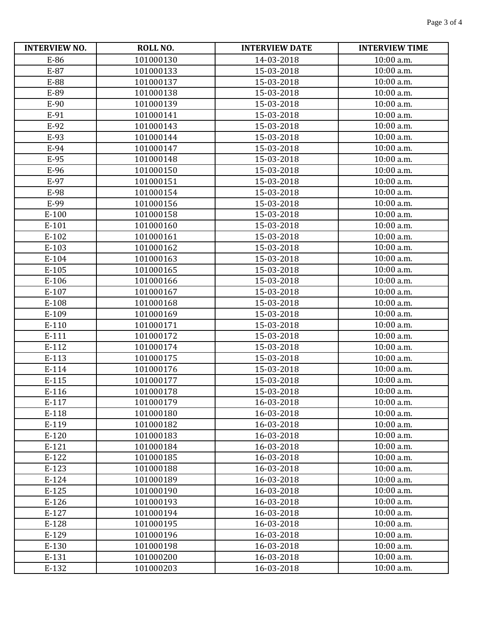| <b>INTERVIEW NO.</b> | ROLL NO.  | <b>INTERVIEW DATE</b> | <b>INTERVIEW TIME</b> |
|----------------------|-----------|-----------------------|-----------------------|
| E-86                 | 101000130 | 14-03-2018            | 10:00 a.m.            |
| E-87                 | 101000133 | 15-03-2018            | 10:00 a.m.            |
| E-88                 | 101000137 | 15-03-2018            | 10:00 a.m.            |
| E-89                 | 101000138 | 15-03-2018            | 10:00 a.m.            |
| E-90                 | 101000139 | 15-03-2018            | 10:00 a.m.            |
| E-91                 | 101000141 | 15-03-2018            | 10:00 a.m.            |
| E-92                 | 101000143 | 15-03-2018            | 10:00 a.m.            |
| E-93                 | 101000144 | 15-03-2018            | 10:00 a.m.            |
| E-94                 | 101000147 | 15-03-2018            | 10:00 a.m.            |
| E-95                 | 101000148 | 15-03-2018            | 10:00 a.m.            |
| E-96                 | 101000150 | 15-03-2018            | 10:00 a.m.            |
| E-97                 | 101000151 | 15-03-2018            | 10:00 a.m.            |
| E-98                 | 101000154 | 15-03-2018            | 10:00 a.m.            |
| E-99                 | 101000156 | 15-03-2018            | 10:00 a.m.            |
| $E-100$              | 101000158 | 15-03-2018            | 10:00 a.m.            |
| E-101                | 101000160 | 15-03-2018            | 10:00 a.m.            |
| $E-102$              | 101000161 | 15-03-2018            | 10:00 a.m.            |
| E-103                | 101000162 | 15-03-2018            | 10:00 a.m.            |
| E-104                | 101000163 | 15-03-2018            | 10:00 a.m.            |
| $E-105$              | 101000165 | 15-03-2018            | 10:00 a.m.            |
| E-106                | 101000166 | 15-03-2018            | 10:00 a.m.            |
| E-107                | 101000167 | 15-03-2018            | 10:00 a.m.            |
| E-108                | 101000168 | 15-03-2018            | 10:00 a.m.            |
| E-109                | 101000169 | 15-03-2018            | 10:00 a.m.            |
| E-110                | 101000171 | 15-03-2018            | 10:00 a.m.            |
| E-111                | 101000172 | 15-03-2018            | 10:00 a.m.            |
| E-112                | 101000174 | 15-03-2018            | 10:00 a.m.            |
| E-113                | 101000175 | 15-03-2018            | 10:00 a.m.            |
| E-114                | 101000176 | 15-03-2018            | 10:00 a.m.            |
| E-115                | 101000177 | 15-03-2018            | 10:00 a.m.            |
| E-116                | 101000178 | 15-03-2018            | 10:00 a.m.            |
| E-117                | 101000179 | 16-03-2018            | $10:00$ a.m.          |
| E-118                | 101000180 | 16-03-2018            | 10:00 a.m.            |
| E-119                | 101000182 | 16-03-2018            | 10:00 a.m.            |
| E-120                | 101000183 | 16-03-2018            | 10:00 a.m.            |
| $E-121$              | 101000184 | 16-03-2018            | 10:00 a.m.            |
| E-122                | 101000185 | 16-03-2018            | 10:00 a.m.            |
| E-123                | 101000188 | 16-03-2018            | 10:00 a.m.            |
| $E-124$              | 101000189 | 16-03-2018            | 10:00 a.m.            |
| $E-125$              | 101000190 | 16-03-2018            | 10:00 a.m.            |
| E-126                | 101000193 | 16-03-2018            | 10:00 a.m.            |
| $E-127$              | 101000194 | 16-03-2018            | 10:00 a.m.            |
| E-128                | 101000195 | 16-03-2018            | 10:00 a.m.            |
| E-129                | 101000196 | 16-03-2018            | 10:00 a.m.            |
| E-130                | 101000198 | 16-03-2018            | 10:00 a.m.            |
| E-131                | 101000200 | 16-03-2018            | 10:00 a.m.            |
| E-132                | 101000203 | 16-03-2018            | 10:00 a.m.            |
|                      |           |                       |                       |